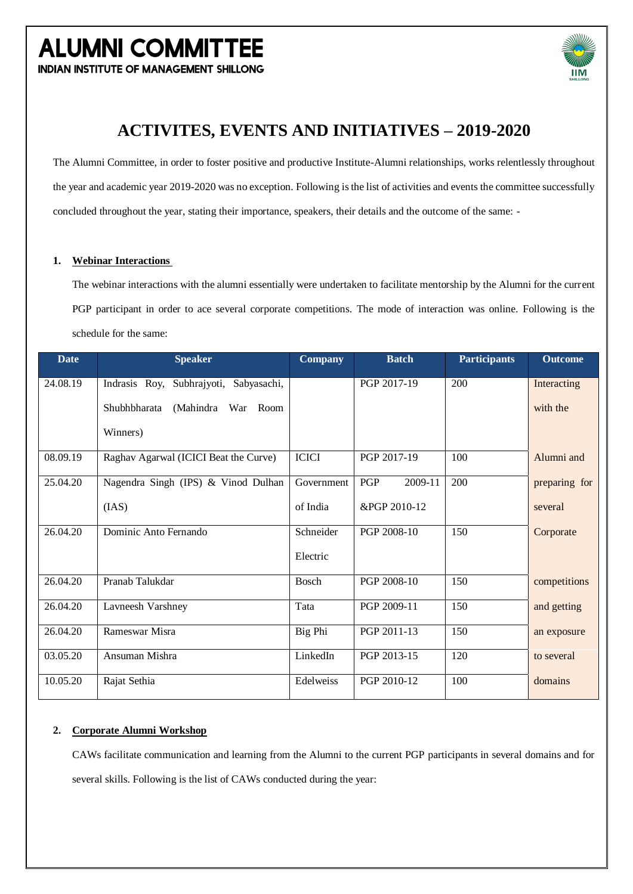**INDIAN INSTITUTE OF MANAGEMENT SHILLONG** 



### **ACTIVITES, EVENTS AND INITIATIVES – 2019-2020**

The Alumni Committee, in order to foster positive and productive Institute-Alumni relationships, works relentlessly throughout the year and academic year 2019-2020 was no exception. Following is the list of activities and events the committee successfully concluded throughout the year, stating their importance, speakers, their details and the outcome of the same: -

#### **1. Webinar Interactions**

The webinar interactions with the alumni essentially were undertaken to facilitate mentorship by the Alumni for the current PGP participant in order to ace several corporate competitions. The mode of interaction was online. Following is the schedule for the same:

| <b>Date</b> | <b>Speaker</b>                         | <b>Company</b> | <b>Batch</b>   | <b>Participants</b> | <b>Outcome</b> |
|-------------|----------------------------------------|----------------|----------------|---------------------|----------------|
| 24.08.19    | Indrasis Roy, Subhrajyoti, Sabyasachi, |                | PGP 2017-19    | 200                 | Interacting    |
|             | Shubhbharata<br>(Mahindra War Room     |                |                |                     | with the       |
|             | Winners)                               |                |                |                     |                |
| 08.09.19    | Raghav Agarwal (ICICI Beat the Curve)  | <b>ICICI</b>   | PGP 2017-19    | 100                 | Alumni and     |
| 25.04.20    | Nagendra Singh (IPS) & Vinod Dulhan    | Government     | PGP<br>2009-11 | 200                 | preparing for  |
|             | (IAS)                                  | of India       | &PGP 2010-12   |                     | several        |
| 26.04.20    | Dominic Anto Fernando                  | Schneider      | PGP 2008-10    | 150                 | Corporate      |
|             |                                        | Electric       |                |                     |                |
| 26.04.20    | Pranab Talukdar                        | <b>Bosch</b>   | PGP 2008-10    | 150                 | competitions   |
| 26.04.20    | Lavneesh Varshney                      | Tata           | PGP 2009-11    | 150                 | and getting    |
| 26.04.20    | Rameswar Misra                         | Big Phi        | PGP 2011-13    | 150                 | an exposure    |
| 03.05.20    | Ansuman Mishra                         | LinkedIn       | PGP 2013-15    | 120                 | to several     |
| 10.05.20    | Rajat Sethia                           | Edelweiss      | PGP 2010-12    | 100                 | domains        |

#### **2. Corporate Alumni Workshop**

CAWs facilitate communication and learning from the Alumni to the current PGP participants in several domains and for several skills. Following is the list of CAWs conducted during the year: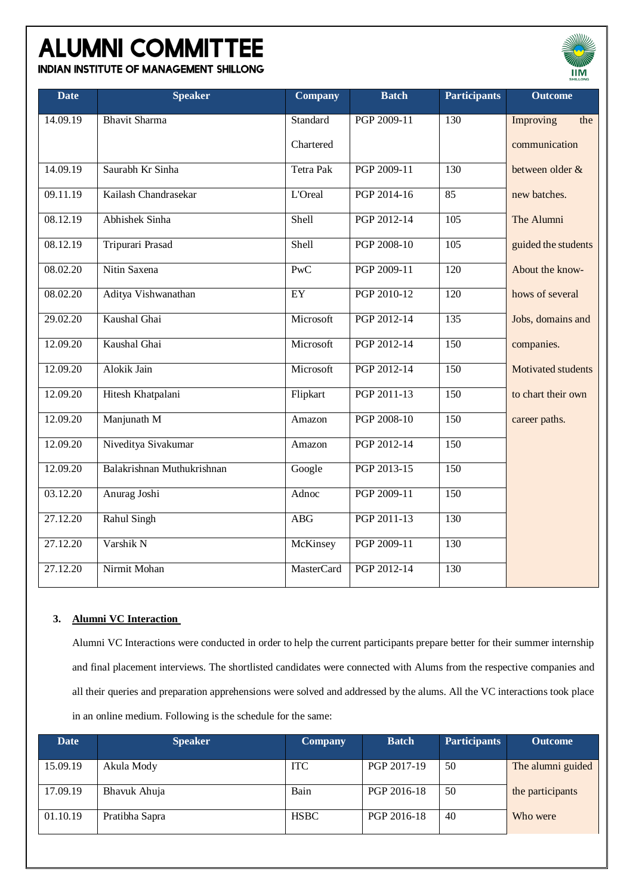**INDIAN INSTITUTE OF MANAGEMENT SHILLONG** 

| <b>Date</b> | <b>Speaker</b>             | <b>Company</b>    | <b>Batch</b> | <b>Participants</b> | <b>Outcome</b>      |
|-------------|----------------------------|-------------------|--------------|---------------------|---------------------|
| 14.09.19    | <b>Bhavit Sharma</b>       | Standard          | PGP 2009-11  | 130                 | Improving<br>the    |
|             |                            | Chartered         |              |                     | communication       |
| 14.09.19    | Saurabh Kr Sinha           | Tetra Pak         | PGP 2009-11  | 130                 | between older &     |
| 09.11.19    | Kailash Chandrasekar       | L'Oreal           | PGP 2014-16  | 85                  | new batches.        |
| 08.12.19    | Abhishek Sinha             | Shell             | PGP 2012-14  | 105                 | The Alumni          |
| 08.12.19    | Tripurari Prasad           | Shell             | PGP 2008-10  | $\overline{105}$    | guided the students |
| 08.02.20    | Nitin Saxena               | <b>PwC</b>        | PGP 2009-11  | 120                 | About the know-     |
| 08.02.20    | Aditya Vishwanathan        | EY                | PGP 2010-12  | $\overline{120}$    | hows of several     |
| 29.02.20    | Kaushal Ghai               | Microsoft         | PGP 2012-14  | $\overline{135}$    | Jobs, domains and   |
| 12.09.20    | Kaushal Ghai               | Microsoft         | PGP 2012-14  | 150                 | companies.          |
| 12.09.20    | Alokik Jain                | Microsoft         | PGP 2012-14  | 150                 | Motivated students  |
| 12.09.20    | Hitesh Khatpalani          | Flipkart          | PGP 2011-13  | 150                 | to chart their own  |
| 12.09.20    | Manjunath M                | Amazon            | PGP 2008-10  | 150                 | career paths.       |
| 12.09.20    | Niveditya Sivakumar        | Amazon            | PGP 2012-14  | 150                 |                     |
| 12.09.20    | Balakrishnan Muthukrishnan | Google            | PGP 2013-15  | 150                 |                     |
| 03.12.20    | Anurag Joshi               | Adnoc             | PGP 2009-11  | 150                 |                     |
| 27.12.20    | <b>Rahul Singh</b>         | <b>ABG</b>        | PGP 2011-13  | $\overline{130}$    |                     |
| 27.12.20    | Varshik N                  | McKinsey          | PGP 2009-11  | 130                 |                     |
| 27.12.20    | Nirmit Mohan               | <b>MasterCard</b> | PGP 2012-14  | 130                 |                     |

 $IIIM$ 

#### **3. Alumni VC Interaction**

Alumni VC Interactions were conducted in order to help the current participants prepare better for their summer internship and final placement interviews. The shortlisted candidates were connected with Alums from the respective companies and all their queries and preparation apprehensions were solved and addressed by the alums. All the VC interactions took place in an online medium. Following is the schedule for the same:

| <b>Date</b> | <b>Speaker</b> | <b>Company</b> | <b>Batch</b> | <b>Participants</b> | <b>Outcome</b>    |
|-------------|----------------|----------------|--------------|---------------------|-------------------|
| 15.09.19    | Akula Mody     | <b>ITC</b>     | PGP 2017-19  | 50                  | The alumni guided |
| 17.09.19    | Bhavuk Ahuja   | Bain           | PGP 2016-18  | 50                  | the participants  |
| 01.10.19    | Pratibha Sapra | <b>HSBC</b>    | PGP 2016-18  | 40                  | Who were          |
|             |                |                |              |                     |                   |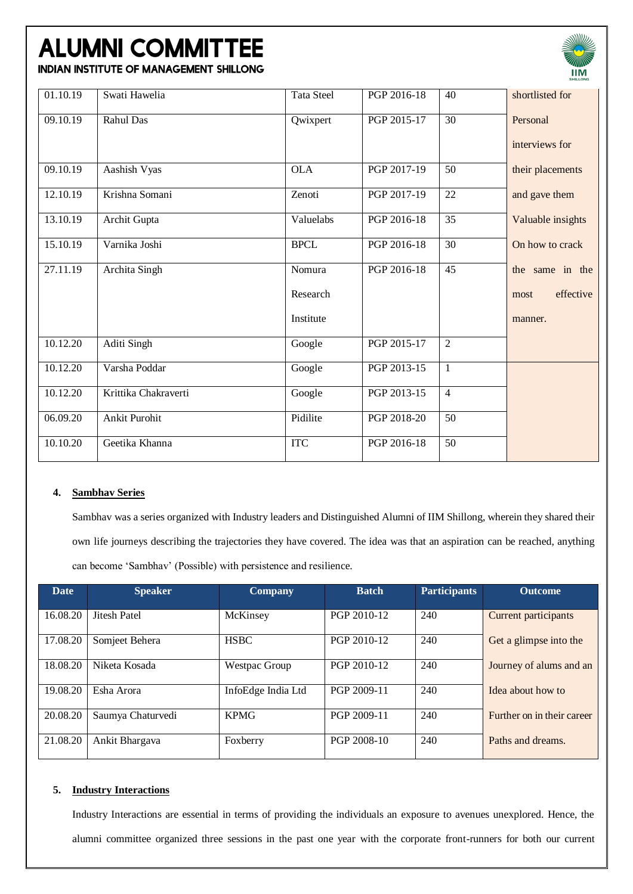

**INDIAN INSTITUTE OF MANAGEMENT SHILLONG** 

| 01.10.19 | Swati Hawelia        | <b>Tata Steel</b> | PGP 2016-18 | 40             | shortlisted for   |
|----------|----------------------|-------------------|-------------|----------------|-------------------|
| 09.10.19 | Rahul Das            | Qwixpert          | PGP 2015-17 | 30             | Personal          |
|          |                      |                   |             |                | interviews for    |
| 09.10.19 | Aashish Vyas         | <b>OLA</b>        | PGP 2017-19 | 50             | their placements  |
| 12.10.19 | Krishna Somani       | Zenoti            | PGP 2017-19 | 22             | and gave them     |
| 13.10.19 | Archit Gupta         | Valuelabs         | PGP 2016-18 | 35             | Valuable insights |
| 15.10.19 | Varnika Joshi        | <b>BPCL</b>       | PGP 2016-18 | 30             | On how to crack   |
| 27.11.19 | Archita Singh        | Nomura            | PGP 2016-18 | 45             | the same in the   |
|          |                      | Research          |             |                | effective<br>most |
|          |                      | Institute         |             |                | manner.           |
| 10.12.20 | Aditi Singh          | Google            | PGP 2015-17 | $\overline{2}$ |                   |
| 10.12.20 | Varsha Poddar        | Google            | PGP 2013-15 | $\mathbf{1}$   |                   |
| 10.12.20 | Krittika Chakraverti | Google            | PGP 2013-15 | $\overline{4}$ |                   |
| 06.09.20 | <b>Ankit Purohit</b> | Pidilite          | PGP 2018-20 | 50             |                   |
| 10.10.20 | Geetika Khanna       | <b>ITC</b>        | PGP 2016-18 | 50             |                   |

#### **4. Sambhav Series**

Sambhav was a series organized with Industry leaders and Distinguished Alumni of IIM Shillong, wherein they shared their own life journeys describing the trajectories they have covered. The idea was that an aspiration can be reached, anything can become 'Sambhav' (Possible) with persistence and resilience.

| <b>Date</b> | <b>Speaker</b>    | <b>Company</b>     | <b>Batch</b> | <b>Participants</b> | <b>Outcome</b>              |
|-------------|-------------------|--------------------|--------------|---------------------|-----------------------------|
| 16.08.20    | Jitesh Patel      | McKinsey           | PGP 2010-12  | 240                 | <b>Current participants</b> |
| 17.08.20    | Somjeet Behera    | <b>HSBC</b>        | PGP 2010-12  | 240                 | Get a glimpse into the      |
| 18.08.20    | Niketa Kosada     | Westpac Group      | PGP 2010-12  | 240                 | Journey of alums and an     |
| 19.08.20    | Esha Arora        | InfoEdge India Ltd | PGP 2009-11  | 240                 | Idea about how to           |
| 20.08.20    | Saumya Chaturvedi | <b>KPMG</b>        | PGP 2009-11  | 240                 | Further on in their career  |
| 21.08.20    | Ankit Bhargava    | Foxberry           | PGP 2008-10  | 240                 | Paths and dreams.           |

#### **5. Industry Interactions**

Industry Interactions are essential in terms of providing the individuals an exposure to avenues unexplored. Hence, the alumni committee organized three sessions in the past one year with the corporate front-runners for both our current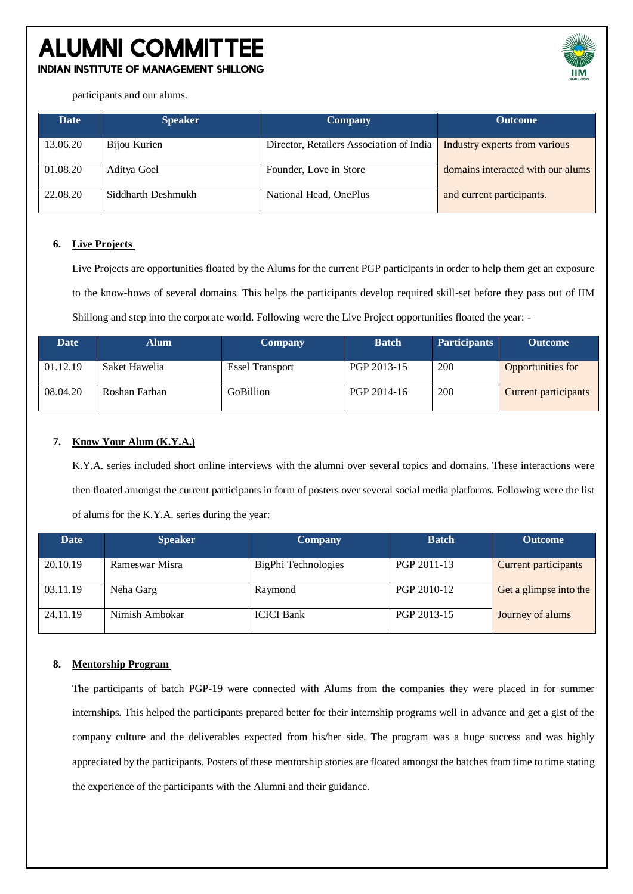### **ALUMNI COMMITTEE INDIAN INSTITUTE OF MANAGEMENT SHILLONG**



participants and our alums.

| Date     | <b>Speaker</b>     | <b>Company</b>                           | <b>Outcome</b>                    |
|----------|--------------------|------------------------------------------|-----------------------------------|
| 13.06.20 | Bijou Kurien       | Director, Retailers Association of India | Industry experts from various     |
| 01.08.20 | Aditya Goel        | Founder, Love in Store                   | domains interacted with our alums |
| 22.08.20 | Siddharth Deshmukh | National Head, OnePlus                   | and current participants.         |

#### **6. Live Projects**

Live Projects are opportunities floated by the Alums for the current PGP participants in order to help them get an exposure to the know-hows of several domains. This helps the participants develop required skill-set before they pass out of IIM Shillong and step into the corporate world. Following were the Live Project opportunities floated the year: -

| Date     | Alum I        | <b>Company</b>         | <b>Batch</b> | <b>Participants</b> | <b>Outcome</b>              |
|----------|---------------|------------------------|--------------|---------------------|-----------------------------|
| 01.12.19 | Saket Hawelia | <b>Essel Transport</b> | PGP 2013-15  | 200                 | Opportunities for           |
| 08.04.20 | Roshan Farhan | <b>GoBillion</b>       | PGP 2014-16  | 200                 | <b>Current participants</b> |

#### **7. Know Your Alum (K.Y.A.)**

K.Y.A. series included short online interviews with the alumni over several topics and domains. These interactions were then floated amongst the current participants in form of posters over several social media platforms. Following were the list of alums for the K.Y.A. series during the year:

| <b>Date</b> | <b>Speaker</b> | <b>Company</b>      | <b>Batch</b> | <b>Outcome</b>              |
|-------------|----------------|---------------------|--------------|-----------------------------|
| 20.10.19    | Rameswar Misra | BigPhi Technologies | PGP 2011-13  | <b>Current participants</b> |
| 03.11.19    | Neha Garg      | Raymond             | PGP 2010-12  | Get a glimpse into the      |
| 24.11.19    | Nimish Ambokar | <b>ICICI Bank</b>   | PGP 2013-15  | Journey of alums            |

#### **8. Mentorship Program**

The participants of batch PGP-19 were connected with Alums from the companies they were placed in for summer internships. This helped the participants prepared better for their internship programs well in advance and get a gist of the company culture and the deliverables expected from his/her side. The program was a huge success and was highly appreciated by the participants. Posters of these mentorship stories are floated amongst the batches from time to time stating the experience of the participants with the Alumni and their guidance.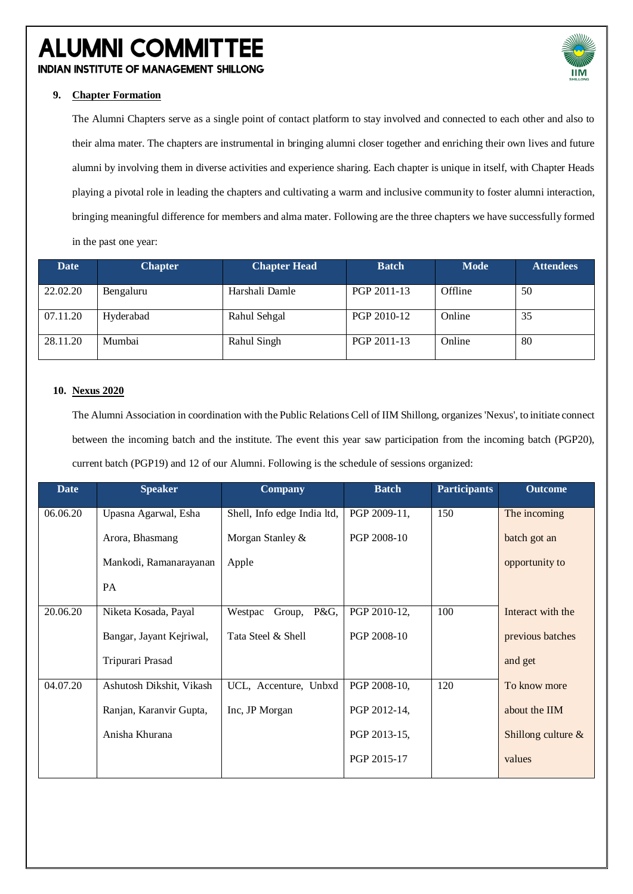**INDIAN INSTITUTE OF MANAGEMENT SHILLONG** 



#### **9. Chapter Formation**

The Alumni Chapters serve as a single point of contact platform to stay involved and connected to each other and also to their alma mater. The chapters are instrumental in bringing alumni closer together and enriching their own lives and future alumni by involving them in diverse activities and experience sharing. Each chapter is unique in itself, with Chapter Heads playing a pivotal role in leading the chapters and cultivating a warm and inclusive community to foster alumni interaction, bringing meaningful difference for members and alma mater. Following are the three chapters we have successfully formed in the past one year:

| Date     | <b>Chapter</b> | <b>Chapter Head</b> | <b>Batch</b> | <b>Mode</b> | <b>Attendees</b> |
|----------|----------------|---------------------|--------------|-------------|------------------|
| 22.02.20 | Bengaluru      | Harshali Damle      | PGP 2011-13  | Offline     | 50               |
| 07.11.20 | Hyderabad      | Rahul Sehgal        | PGP 2010-12  | Online      | 35               |
| 28.11.20 | Mumbai         | Rahul Singh         | PGP 2011-13  | Online      | 80               |

#### **10. Nexus 2020**

The Alumni Association in coordination with the Public Relations Cell of IIM Shillong, organizes 'Nexus', to initiate connect between the incoming batch and the institute. The event this year saw participation from the incoming batch (PGP20), current batch (PGP19) and 12 of our Alumni. Following is the schedule of sessions organized:

| <b>Date</b> | <b>Speaker</b>           | <b>Company</b>              | <b>Batch</b> | <b>Participants</b> | <b>Outcome</b>        |
|-------------|--------------------------|-----------------------------|--------------|---------------------|-----------------------|
| 06.06.20    | Upasna Agarwal, Esha     | Shell, Info edge India ltd, | PGP 2009-11, | 150                 | The incoming          |
|             | Arora, Bhasmang          | Morgan Stanley &            | PGP 2008-10  |                     | batch got an          |
|             | Mankodi, Ramanarayanan   | Apple                       |              |                     | opportunity to        |
|             | PA                       |                             |              |                     |                       |
| 20.06.20    | Niketa Kosada, Payal     | P&G,<br>Westpac<br>Group,   | PGP 2010-12, | 100                 | Interact with the     |
|             | Bangar, Jayant Kejriwal, | Tata Steel & Shell          | PGP 2008-10  |                     | previous batches      |
|             | Tripurari Prasad         |                             |              |                     | and get               |
| 04.07.20    | Ashutosh Dikshit, Vikash | UCL, Accenture, Unbxd       | PGP 2008-10, | 120                 | To know more          |
|             | Ranjan, Karanvir Gupta,  | Inc, JP Morgan              | PGP 2012-14, |                     | about the IIM         |
|             | Anisha Khurana           |                             | PGP 2013-15, |                     | Shillong culture $\&$ |
|             |                          |                             | PGP 2015-17  |                     | values                |
|             |                          |                             |              |                     |                       |